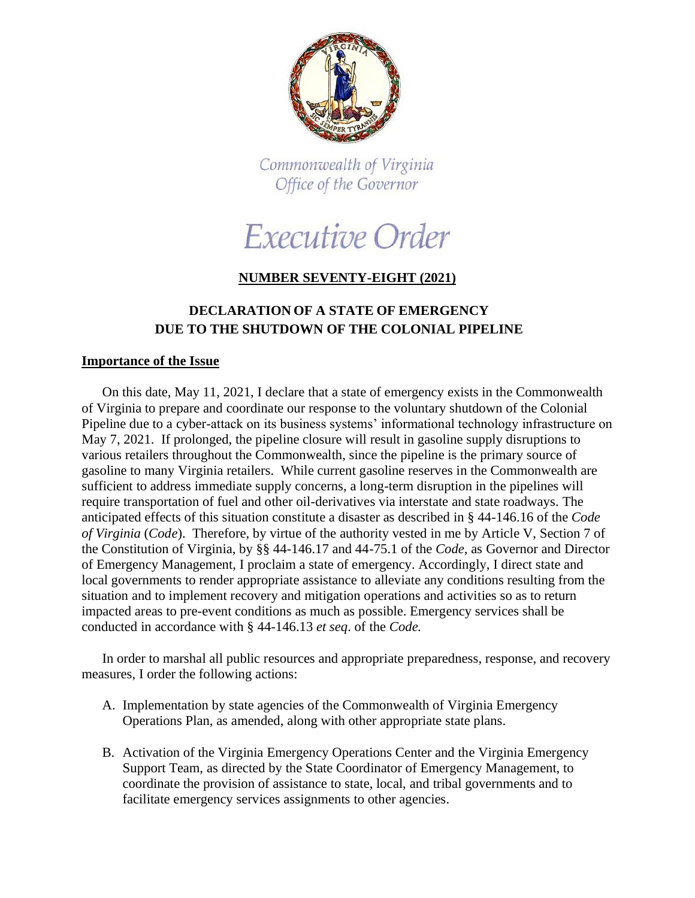

Commonwealth of Virginia Office of the Governor

Executive Order

## **NUMBER SEVENTY-EIGHT (2021)**

## **DECLARATION OF A STATE OF EMERGENCY DUE TO THE SHUTDOWN OF THE COLONIAL PIPELINE**

## **Importance of the Issue**

On this date, May 11, 2021, I declare that a state of emergency exists in the Commonwealth of Virginia to prepare and coordinate our response to the voluntary shutdown of the Colonial Pipeline due to a cyber-attack on its business systems' informational technology infrastructure on May 7, 2021. If prolonged, the pipeline closure will result in gasoline supply disruptions to various retailers throughout the Commonwealth, since the pipeline is the primary source of gasoline to many Virginia retailers. While current gasoline reserves in the Commonwealth are sufficient to address immediate supply concerns, a long-term disruption in the pipelines will require transportation of fuel and other oil-derivatives via interstate and state roadways. The anticipated effects of this situation constitute a disaster as described in § 44-146.16 of the *Code of Virginia* (*Code*). Therefore, by virtue of the authority vested in me by Article V, Section 7 of the Constitution of Virginia, by §§ 44-146.17 and 44-75.1 of the *Code,* as Governor and Director of Emergency Management, I proclaim a state of emergency. Accordingly, I direct state and local governments to render appropriate assistance to alleviate any conditions resulting from the situation and to implement recovery and mitigation operations and activities so as to return impacted areas to pre-event conditions as much as possible. Emergency services shall be conducted in accordance with § 44-146.13 *et seq*. of the *Code.*

In order to marshal all public resources and appropriate preparedness, response, and recovery measures, I order the following actions:

- A. Implementation by state agencies of the Commonwealth of Virginia Emergency Operations Plan, as amended, along with other appropriate state plans.
- B. Activation of the Virginia Emergency Operations Center and the Virginia Emergency Support Team, as directed by the State Coordinator of Emergency Management, to coordinate the provision of assistance to state, local, and tribal governments and to facilitate emergency services assignments to other agencies.